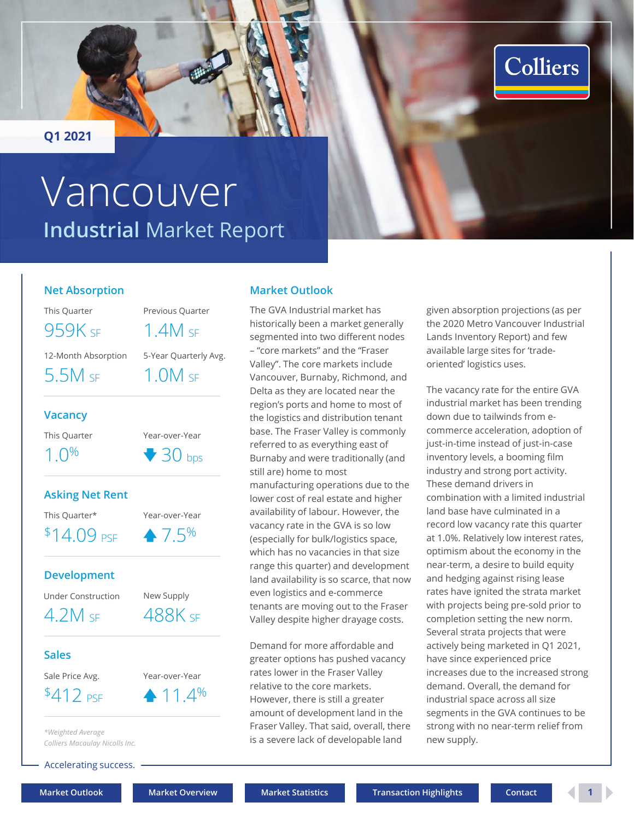<span id="page-0-0"></span>**Q1 2021**

# **Industrial** Market Report Vancouver

### **Net Absorption**

This Quarter Previous Quarter 12-Month Absorption 5-Year Quarterly Avg. 959K SF 1.4M SF 5.5M SF 1.0M SF

### **Vacancy**

This Quarter Year-over-Year

 $1.0\%$   $\sqrt{30}$  bps

### **Asking Net Rent**

### **Development**

### **Sales**

*\*Weighted Average Colliers Macaulay Nicolls Inc.*

Accelerating success.

### **Market Outlook**

The GVA Industrial market has historically been a market generally segmented into two different nodes – "core markets" and the "Fraser Valley". The core markets include Vancouver, Burnaby, Richmond, and Delta as they are located near the region's ports and home to most of the logistics and distribution tenant base. The Fraser Valley is commonly referred to as everything east of Burnaby and were traditionally (and still are) home to most manufacturing operations due to the lower cost of real estate and higher availability of labour. However, the vacancy rate in the GVA is so low (especially for bulk/logistics space, which has no vacancies in that size range this quarter) and development land availability is so scarce, that now even logistics and e-commerce tenants are moving out to the Fraser Valley despite higher drayage costs.

Demand for more affordable and greater options has pushed vacancy rates lower in the Fraser Valley relative to the core markets. However, there is still a greater amount of development land in the Fraser Valley. That said, overall, there is a severe lack of developable land

given absorption projections (as per the 2020 Metro Vancouver Industrial Lands Inventory Report) and few available large sites for 'tradeoriented' logistics uses.

**Colliers** 

The vacancy rate for the entire GVA industrial market has been trending down due to tailwinds from ecommerce acceleration, adoption of just-in-time instead of just-in-case inventory levels, a booming film industry and strong port activity. These demand drivers in combination with a limited industrial land base have culminated in a record low vacancy rate this quarter at 1.0%. Relatively low interest rates, optimism about the economy in the near-term, a desire to build equity and hedging against rising lease rates have ignited the strata market with projects being pre-sold prior to completion setting the new norm. Several strata projects that were actively being marketed in Q1 2021, have since experienced price increases due to the increased strong demand. Overall, the demand for industrial space across all size segments in the GVA continues to be strong with no near-term relief from new supply.

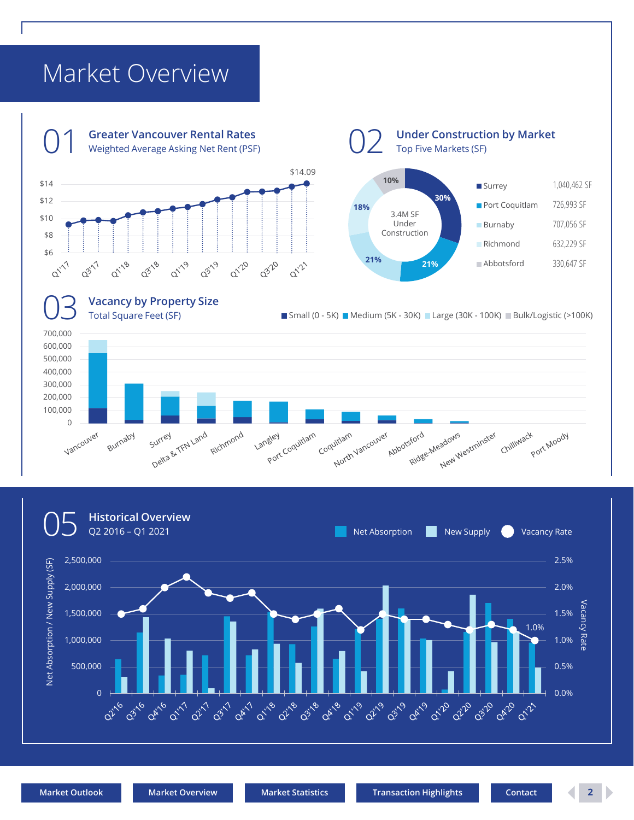## <span id="page-1-0"></span>Market Overview



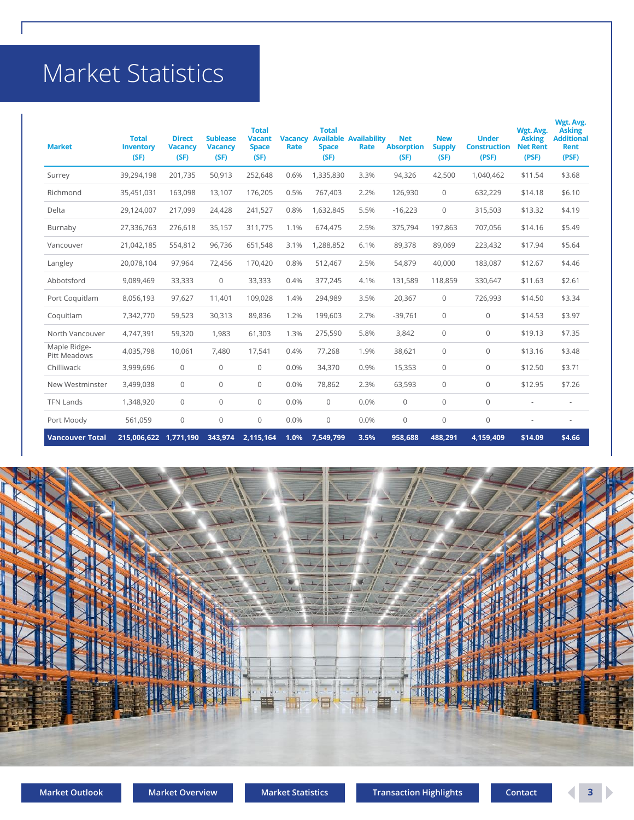## <span id="page-2-0"></span>Market Statistics

| <b>Market</b>                | <b>Total</b><br><b>Inventory</b><br>(SF) | <b>Direct</b><br><b>Vacancy</b><br>(SF) | <b>Sublease</b><br><b>Vacancy</b><br>(SF) | <b>Total</b><br><b>Vacant</b><br><b>Space</b><br>(SF) | <b>Vacancy</b><br>Rate | <b>Total</b><br><b>Space</b><br>(SF) | <b>Available Availability</b><br>Rate | <b>Net</b><br><b>Absorption</b><br>(SF) | <b>New</b><br><b>Supply</b><br>(SF) | <b>Under</b><br><b>Construction</b><br>(PSF) | Wgt. Avg.<br><b>Asking</b><br><b>Net Rent</b><br>(PSF) | Wgt. Avg.<br><b>Asking</b><br><b>Additional</b><br><b>Rent</b><br>(PSF) |
|------------------------------|------------------------------------------|-----------------------------------------|-------------------------------------------|-------------------------------------------------------|------------------------|--------------------------------------|---------------------------------------|-----------------------------------------|-------------------------------------|----------------------------------------------|--------------------------------------------------------|-------------------------------------------------------------------------|
| Surrey                       | 39,294,198                               | 201,735                                 | 50,913                                    | 252,648                                               | 0.6%                   | 1,335,830                            | 3.3%                                  | 94,326                                  | 42,500                              | 1,040,462                                    | \$11.54                                                | \$3.68                                                                  |
| Richmond                     | 35,451,031                               | 163,098                                 | 13,107                                    | 176,205                                               | 0.5%                   | 767,403                              | 2.2%                                  | 126,930                                 | $\Omega$                            | 632,229                                      | \$14.18                                                | \$6.10                                                                  |
| Delta                        | 29,124,007                               | 217,099                                 | 24,428                                    | 241,527                                               | 0.8%                   | 1,632,845                            | 5.5%                                  | $-16,223$                               | $\mathbf{0}$                        | 315,503                                      | \$13.32                                                | \$4.19                                                                  |
| Burnaby                      | 27,336,763                               | 276,618                                 | 35,157                                    | 311,775                                               | 1.1%                   | 674,475                              | 2.5%                                  | 375,794                                 | 197,863                             | 707,056                                      | \$14.16                                                | \$5.49                                                                  |
| Vancouver                    | 21,042,185                               | 554,812                                 | 96,736                                    | 651,548                                               | 3.1%                   | 1,288,852                            | 6.1%                                  | 89,378                                  | 89,069                              | 223,432                                      | \$17.94                                                | \$5.64                                                                  |
| Langley                      | 20,078,104                               | 97,964                                  | 72,456                                    | 170,420                                               | 0.8%                   | 512,467                              | 2.5%                                  | 54,879                                  | 40,000                              | 183,087                                      | \$12.67                                                | \$4.46                                                                  |
| Abbotsford                   | 9,089,469                                | 33,333                                  | $\mathbf 0$                               | 33,333                                                | 0.4%                   | 377,245                              | 4.1%                                  | 131,589                                 | 118,859                             | 330,647                                      | \$11.63                                                | \$2.61                                                                  |
| Port Coquitlam               | 8,056,193                                | 97,627                                  | 11.401                                    | 109,028                                               | 1.4%                   | 294,989                              | 3.5%                                  | 20,367                                  | $\mathbf{0}$                        | 726,993                                      | \$14.50                                                | \$3.34                                                                  |
| Coquitlam                    | 7,342,770                                | 59,523                                  | 30,313                                    | 89,836                                                | 1.2%                   | 199,603                              | 2.7%                                  | $-39,761$                               | $\mathbf{0}$                        | $\mathbf{0}$                                 | \$14.53                                                | \$3.97                                                                  |
| North Vancouver              | 4,747,391                                | 59,320                                  | 1.983                                     | 61,303                                                | 1.3%                   | 275,590                              | 5.8%                                  | 3,842                                   | $\mathbf{0}$                        | $\mathbf{0}$                                 | \$19.13                                                | \$7.35                                                                  |
| Maple Ridge-<br>Pitt Meadows | 4,035,798                                | 10,061                                  | 7.480                                     | 17,541                                                | 0.4%                   | 77,268                               | 1.9%                                  | 38,621                                  | $\mathbf{0}$                        | $\mathbf{0}$                                 | \$13.16                                                | \$3.48                                                                  |
| Chilliwack                   | 3,999,696                                | $\mathbf{0}$                            | $\mathbf{0}$                              | $\Omega$                                              | 0.0%                   | 34,370                               | 0.9%                                  | 15,353                                  | $\mathbf{0}$                        | $\mathbf 0$                                  | \$12.50                                                | \$3.71                                                                  |
| New Westminster              | 3,499,038                                | $\Omega$                                | $\mathbf 0$                               | $\Omega$                                              | 0.0%                   | 78,862                               | 2.3%                                  | 63,593                                  | $\Omega$                            | $\Omega$                                     | \$12.95                                                | \$7.26                                                                  |
| <b>TFN Lands</b>             | 1,348,920                                | $\mathbf{0}$                            | $\mathbf 0$                               | $\mathbf{0}$                                          | 0.0%                   | $\mathbf{0}$                         | 0.0%                                  | $\mathbf{0}$                            | $\mathbf{0}$                        | $\mathbf{0}$                                 |                                                        |                                                                         |
| Port Moody                   | 561,059                                  | $\mathbf 0$                             | $\mathbf 0$                               | $\mathbf 0$                                           | 0.0%                   | 0                                    | 0.0%                                  | $\mathbf{0}$                            | $\mathbf{0}$                        | $\mathbf 0$                                  |                                                        |                                                                         |
| <b>Vancouver Total</b>       | 215,006,622 1,771,190                    |                                         | 343,974                                   | 2,115,164                                             | 1.0%                   | 7,549,799                            | 3.5%                                  | 958,688                                 | 488,291                             | 4,159,409                                    | \$14.09                                                | \$4.66                                                                  |



**[Market Outlook](#page-0-0) [Market Overview](#page-1-0) [Market Statistics](#page-2-0) [Transaction Highlights](#page-3-0) [Contact](#page-4-0) 3** 

D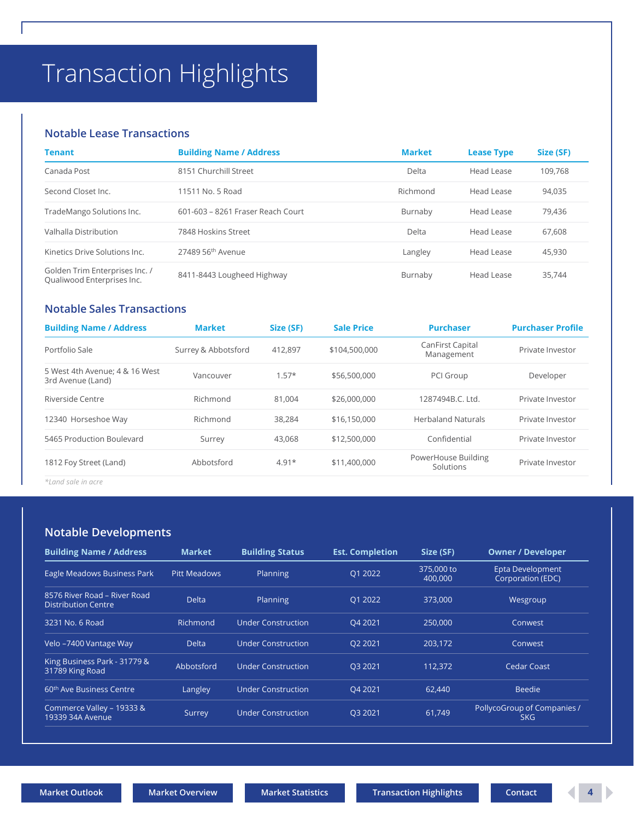# <span id="page-3-0"></span>Transaction Highlights

### **Notable Lease Transactions**

| <b>Tenant</b>                                                | <b>Building Name / Address</b>    | <b>Market</b> | <b>Lease Type</b> | Size (SF) |
|--------------------------------------------------------------|-----------------------------------|---------------|-------------------|-----------|
| Canada Post                                                  | 8151 Churchill Street             | Delta         | Head Lease        | 109,768   |
| Second Closet Inc.                                           | 11511 No. 5 Road                  | Richmond      | <b>Head Lease</b> | 94,035    |
| TradeMango Solutions Inc.                                    | 601-603 - 8261 Fraser Reach Court | Burnaby       | Head Lease        | 79,436    |
| Valhalla Distribution                                        | 7848 Hoskins Street               | Delta         | Head Lease        | 67,608    |
| Kinetics Drive Solutions Inc.                                | 27489 56th Avenue                 | Langley       | Head Lease        | 45,930    |
| Golden Trim Enterprises Inc. /<br>Qualiwood Enterprises Inc. | 8411-8443 Lougheed Highway        | Burnaby       | Head Lease        | 35,744    |

### **Notable Sales Transactions**

| <b>Building Name / Address</b>                      | <b>Market</b>       | Size (SF) | <b>Sale Price</b> | <b>Purchaser</b>                 | <b>Purchaser Profile</b> |
|-----------------------------------------------------|---------------------|-----------|-------------------|----------------------------------|--------------------------|
| Portfolio Sale                                      | Surrey & Abbotsford | 412.897   | \$104,500,000     | CanFirst Capital<br>Management   | Private Investor         |
| 5 West 4th Avenue; 4 & 16 West<br>3rd Avenue (Land) | Vancouver           | $1.57*$   | \$56,500,000      | PCI Group                        | Developer                |
| Riverside Centre                                    | Richmond            | 81.004    | \$26,000,000      | 1287494B.C. Ltd.                 | Private Investor         |
| 12340 Horseshoe Way                                 | Richmond            | 38,284    | \$16,150,000      | <b>Herbaland Naturals</b>        | Private Investor         |
| 5465 Production Boulevard                           | Surrey              | 43,068    | \$12,500,000      | Confidential                     | Private Investor         |
| 1812 Foy Street (Land)                              | Abbotsford          | $4.91*$   | \$11,400,000      | PowerHouse Building<br>Solutions | Private Investor         |

*\*Land sale in acre*

### **Notable Developments**

| <b>Building Name / Address</b>                             | <b>Market</b>       | <b>Building Status</b>    | <b>Est. Completion</b> | Size (SF)             | <b>Owner / Developer</b>                  |
|------------------------------------------------------------|---------------------|---------------------------|------------------------|-----------------------|-------------------------------------------|
| Eagle Meadows Business Park                                | <b>Pitt Meadows</b> | Planning                  | Q1 2022                | 375,000 to<br>400,000 | Epta Development<br>Corporation (EDC)     |
| 8576 River Road – River Road<br><b>Distribution Centre</b> | <b>Delta</b>        | Planning                  | 01 2022                | 373,000               | Wesgroup                                  |
| 3231 No. 6 Road                                            | Richmond            | <b>Under Construction</b> | O4 2021                | 250,000               | Conwest                                   |
| Velo -7400 Vantage Way                                     | <b>Delta</b>        | <b>Under Construction</b> | O <sub>2</sub> 2021    | 203.172               | Conwest                                   |
| King Business Park - 31779 &<br>31789 King Road            | Abbotsford          | <b>Under Construction</b> | O3 2021                | 112.372               | <b>Cedar Coast</b>                        |
| 60 <sup>th</sup> Ave Business Centre                       | Langley             | <b>Under Construction</b> | O4 2021                | 62.440                | <b>Beedie</b>                             |
| Commerce Valley - 19333 &<br>19339 34A Avenue              | Surrey              | <b>Under Construction</b> | Q3 2021                | 61,749                | PollycoGroup of Companies /<br><b>SKG</b> |